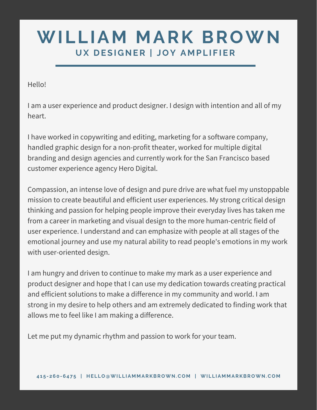# **WILLIAM MARK BROWN UX D ESI GNER | JOY A M PL I F IER**

Hello!

I am a user experience and product designer. I design with intention and all of my heart.

I have worked in copywriting and editing, marketing for a software company, handled graphic design for a non-profit theater, worked for multiple digital branding and design agencies and currently work for the San Francisco based customer experience agency Hero Digital.

Compassion, an intense love of design and pure drive are what fuel my unstoppable mission to create beautiful and efficient user experiences. My strong critical design thinking and passion for helping people improve their everyday lives has taken me from a career in marketing and visual design to the more human-centric field of user experience. I understand and can emphasize with people at all stages of the emotional journey and use my natural ability to read people's emotions in my work with user-oriented design.

I am hungry and driven to continue to make my mark as a user experience and product designer and hope that I can use my dedication towards creating practical and efficient solutions to make a difference in my community and world. I am strong in my desire to help others and am extremely dedicated to finding work that allows me to feel like I am making a difference.

Let me put my dynamic rhythm and passion to work for your team.